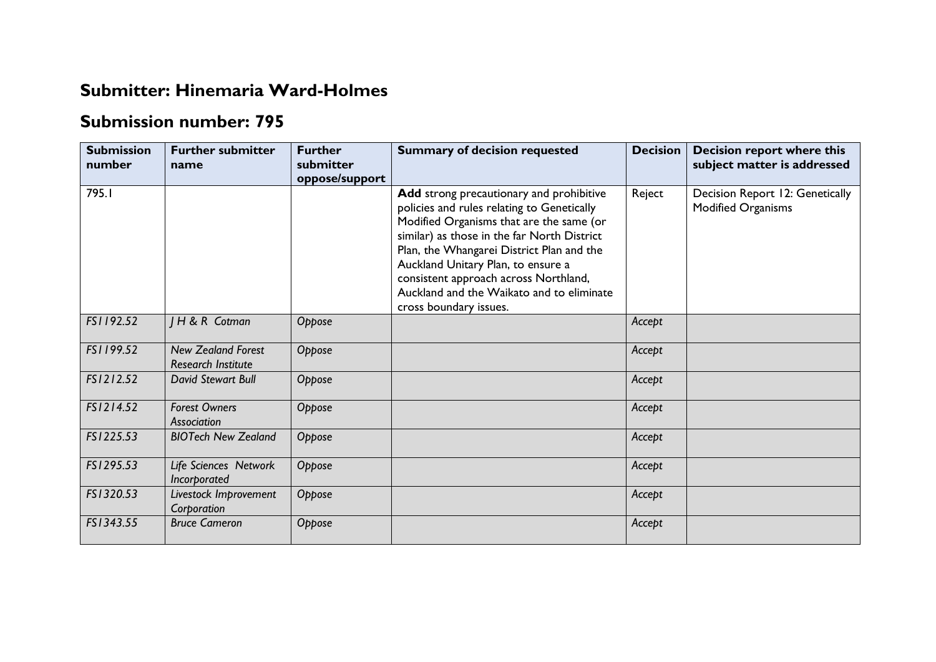## **Submitter: Hinemaria Ward-Holmes**

## **Submission number: 795**

| <b>Submission</b><br>number | <b>Further submitter</b><br>name                       | <b>Further</b><br>submitter<br>oppose/support | <b>Summary of decision requested</b>                                                                                                                                                                                                                                                                                                                                                 | <b>Decision</b> | <b>Decision report where this</b><br>subject matter is addressed |
|-----------------------------|--------------------------------------------------------|-----------------------------------------------|--------------------------------------------------------------------------------------------------------------------------------------------------------------------------------------------------------------------------------------------------------------------------------------------------------------------------------------------------------------------------------------|-----------------|------------------------------------------------------------------|
| 795.I                       |                                                        |                                               | Add strong precautionary and prohibitive<br>policies and rules relating to Genetically<br>Modified Organisms that are the same (or<br>similar) as those in the far North District<br>Plan, the Whangarei District Plan and the<br>Auckland Unitary Plan, to ensure a<br>consistent approach across Northland,<br>Auckland and the Waikato and to eliminate<br>cross boundary issues. | Reject          | Decision Report 12: Genetically<br>Modified Organisms            |
| FS1192.52                   | <b>IH&amp;R</b> Cotman                                 | Oppose                                        |                                                                                                                                                                                                                                                                                                                                                                                      | Accept          |                                                                  |
| FS1199.52                   | <b>New Zealand Forest</b><br><b>Research Institute</b> | Oppose                                        |                                                                                                                                                                                                                                                                                                                                                                                      | Accept          |                                                                  |
| FS1212.52                   | David Stewart Bull                                     | Oppose                                        |                                                                                                                                                                                                                                                                                                                                                                                      | Accept          |                                                                  |
| FS1214.52                   | <b>Forest Owners</b><br>Association                    | Oppose                                        |                                                                                                                                                                                                                                                                                                                                                                                      | Accept          |                                                                  |
| FS1225.53                   | <b>BIOTech New Zealand</b>                             | Oppose                                        |                                                                                                                                                                                                                                                                                                                                                                                      | Accept          |                                                                  |
| FS1295.53                   | Life Sciences Network<br>Incorporated                  | Oppose                                        |                                                                                                                                                                                                                                                                                                                                                                                      | Accept          |                                                                  |
| FS1320.53                   | Livestock Improvement<br>Corporation                   | Oppose                                        |                                                                                                                                                                                                                                                                                                                                                                                      | Accept          |                                                                  |
| FS1343.55                   | <b>Bruce Cameron</b>                                   | Oppose                                        |                                                                                                                                                                                                                                                                                                                                                                                      | Accept          |                                                                  |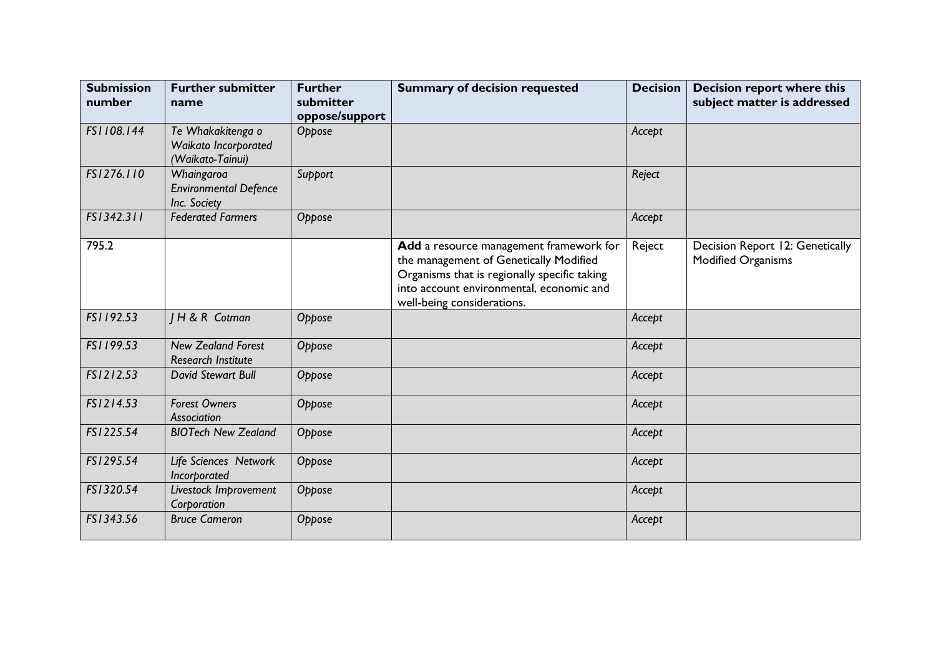| <b>Submission</b><br>number | <b>Further submitter</b><br>name                              | <b>Further</b><br>submitter<br>oppose/support | <b>Summary of decision requested</b>                                                                                                                                                                        | <b>Decision</b> | <b>Decision report where this</b><br>subject matter is addressed |
|-----------------------------|---------------------------------------------------------------|-----------------------------------------------|-------------------------------------------------------------------------------------------------------------------------------------------------------------------------------------------------------------|-----------------|------------------------------------------------------------------|
| FS1108.144                  | Te Whakakitenga o<br>Waikato Incorporated<br>(Waikato-Tainui) | Oppose                                        |                                                                                                                                                                                                             | Accept          |                                                                  |
| FS1276.110                  | Whaingaroa<br><b>Environmental Defence</b><br>Inc. Society    | Support                                       |                                                                                                                                                                                                             | Reject          |                                                                  |
| FS1342.311                  | <b>Federated Farmers</b>                                      | Oppose                                        |                                                                                                                                                                                                             | Accept          |                                                                  |
| 795.2                       |                                                               |                                               | Add a resource management framework for<br>the management of Genetically Modified<br>Organisms that is regionally specific taking<br>into account environmental, economic and<br>well-being considerations. | Reject          | Decision Report 12: Genetically<br><b>Modified Organisms</b>     |
| FS1192.53                   | H & R Cotman                                                  | Oppose                                        |                                                                                                                                                                                                             | Accept          |                                                                  |
| FS1199.53                   | <b>New Zealand Forest</b><br><b>Research Institute</b>        | Oppose                                        |                                                                                                                                                                                                             | Accept          |                                                                  |
| FS1212.53                   | <b>David Stewart Bull</b>                                     | Oppose                                        |                                                                                                                                                                                                             | Accept          |                                                                  |
| FS1214.53                   | <b>Forest Owners</b><br>Association                           | Oppose                                        |                                                                                                                                                                                                             | Accept          |                                                                  |
| FS1225.54                   | <b>BIOTech New Zealand</b>                                    | Oppose                                        |                                                                                                                                                                                                             | Accept          |                                                                  |
| FS1295.54                   | Life Sciences Network<br>Incorporated                         | Oppose                                        |                                                                                                                                                                                                             | Accept          |                                                                  |
| FS1320.54                   | Livestock Improvement<br>Corporation                          | Oppose                                        |                                                                                                                                                                                                             | Accept          |                                                                  |
| FS1343.56                   | <b>Bruce Cameron</b>                                          | Oppose                                        |                                                                                                                                                                                                             | Accept          |                                                                  |